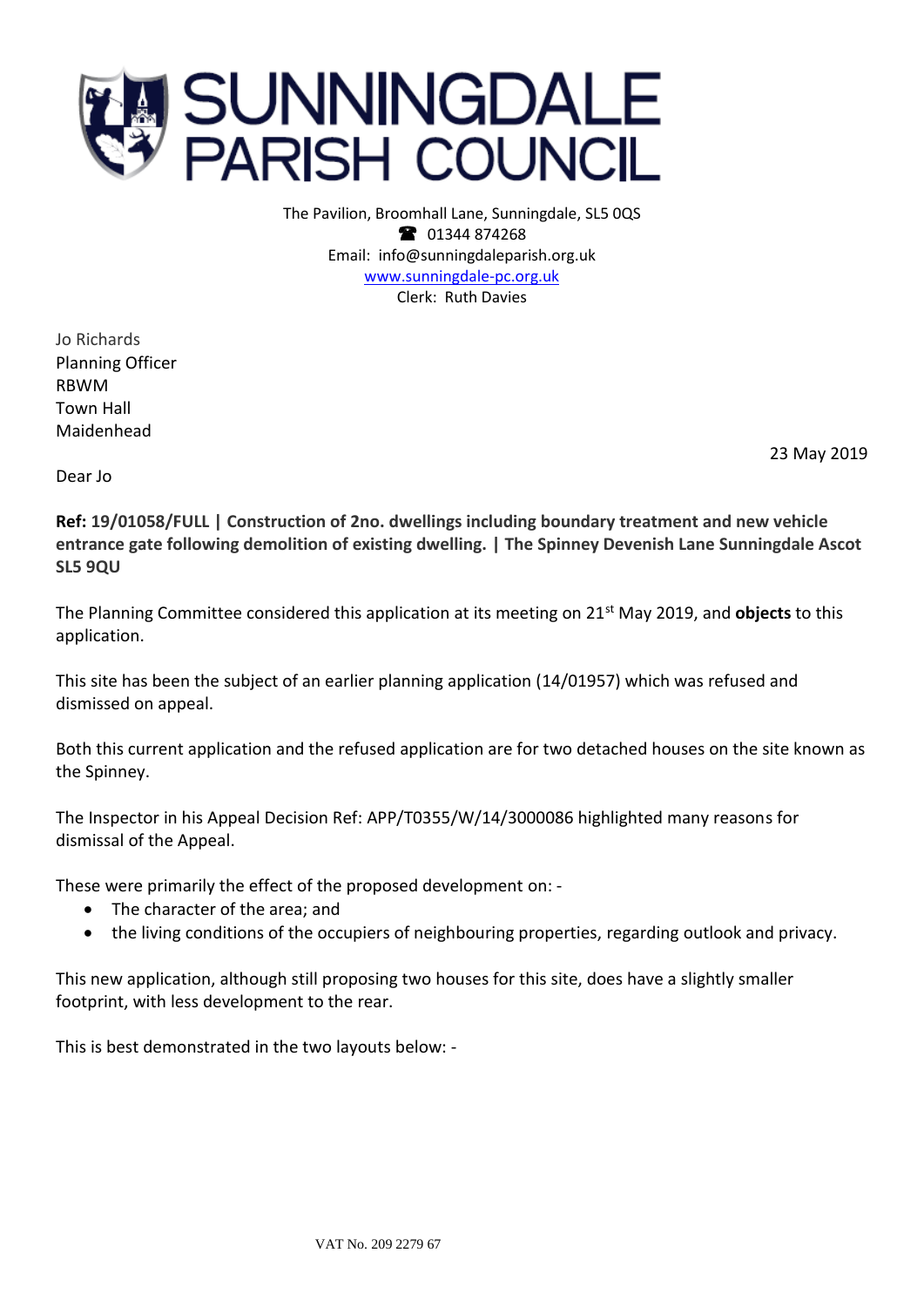

The Pavilion, Broomhall Lane, Sunningdale, SL5 0QS <sup>3</sup> 01344 874268 Email: info@sunningdaleparish.org.uk [www.sunningdale-pc.org.uk](http://www.sunningdale-pc.org.uk/) Clerk: Ruth Davies

Jo Richards Planning Officer RBWM Town Hall Maidenhead

23 May 2019

Dear Jo

**Ref: 19/01058/FULL | Construction of 2no. dwellings including boundary treatment and new vehicle entrance gate following demolition of existing dwelling. | The Spinney Devenish Lane Sunningdale Ascot SL5 9QU**

The Planning Committee considered this application at its meeting on 21st May 2019, and **objects** to this application.

This site has been the subject of an earlier planning application (14/01957) which was refused and dismissed on appeal.

Both this current application and the refused application are for two detached houses on the site known as the Spinney.

The Inspector in his Appeal Decision Ref: APP/T0355/W/14/3000086 highlighted many reasons for dismissal of the Appeal.

These were primarily the effect of the proposed development on: -

- The character of the area; and
- the living conditions of the occupiers of neighbouring properties, regarding outlook and privacy.

This new application, although still proposing two houses for this site, does have a slightly smaller footprint, with less development to the rear.

This is best demonstrated in the two layouts below: -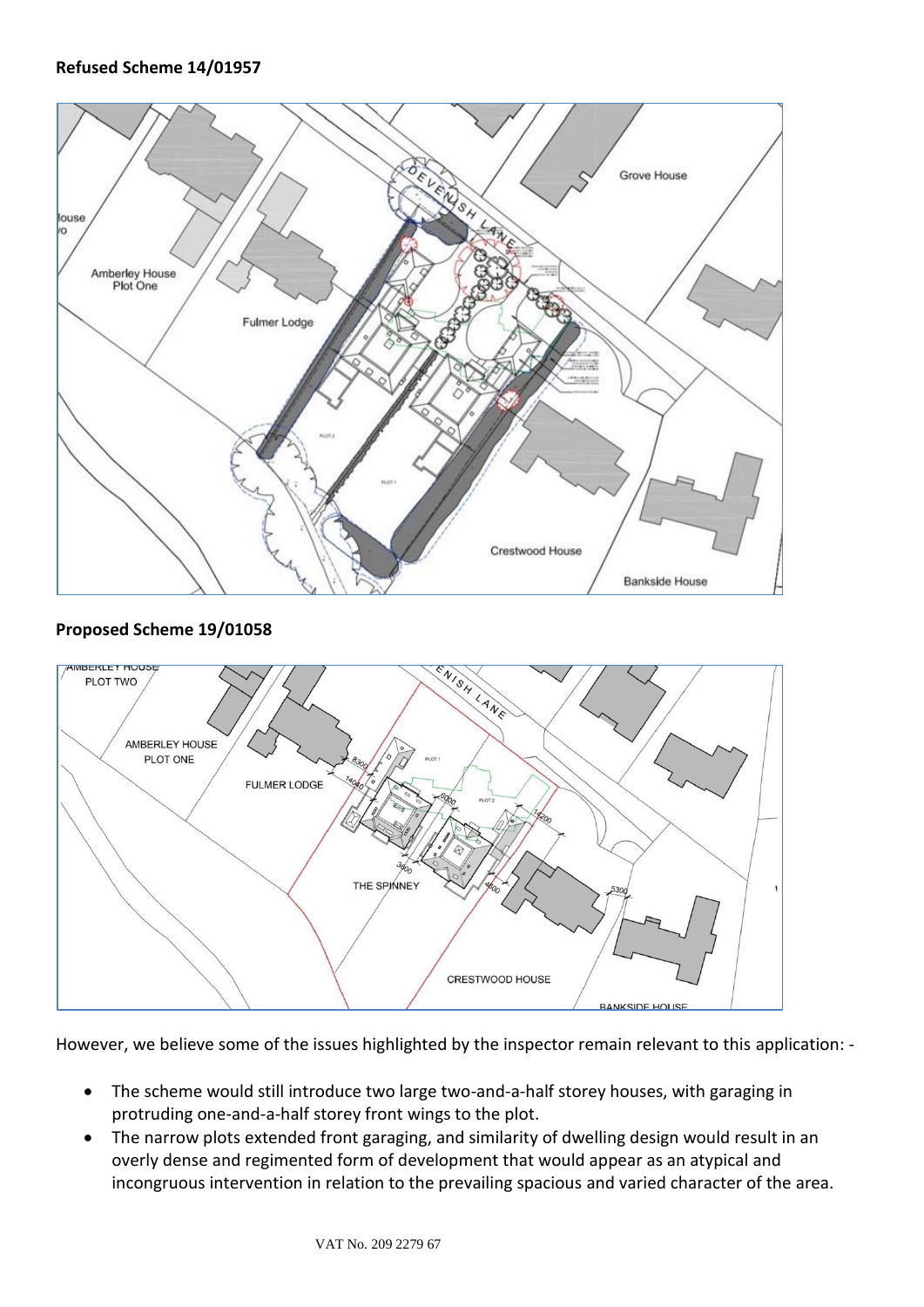

## **Proposed Scheme 19/01058**



However, we believe some of the issues highlighted by the inspector remain relevant to this application: -

- The scheme would still introduce two large two-and-a-half storey houses, with garaging in protruding one-and-a-half storey front wings to the plot.
- The narrow plots extended front garaging, and similarity of dwelling design would result in an overly dense and regimented form of development that would appear as an atypical and incongruous intervention in relation to the prevailing spacious and varied character of the area.